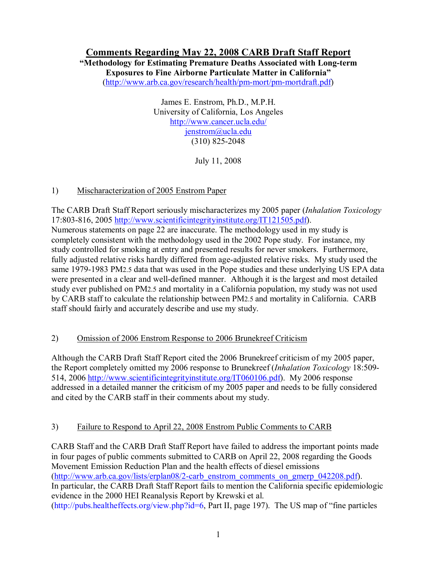# **Comments Regarding May 22, 2008 CARB Draft Staff Report**

**"Methodology for Estimating Premature Deaths Associated with Long-term Exposures to Fine Airborne Particulate Matter in California"**

(http://www.arb.ca.gov/research/health/pm-mort/pm-mortdraft.pdf)

James E. Enstrom, Ph.D., M.P.H. University of California, Los Angeles http://www.cancer.ucla.edu/ jenstrom@ucla.edu (310) 825-2048

July 11, 2008

## 1) Mischaracterization of 2005 Enstrom Paper

The CARB Draft Staff Report seriously mischaracterizes my 2005 paper (*Inhalation Toxicology* 17:803-816, 2005 http://www.scientificintegrityinstitute.org/IT121505.pdf). Numerous statements on page 22 are inaccurate. The methodology used in my study is completely consistent with the methodology used in the 2002 Pope study. For instance, my study controlled for smoking at entry and presented results for never smokers. Furthermore, fully adjusted relative risks hardly differed from age-adjusted relative risks. My study used the same 1979-1983 PM2.5 data that was used in the Pope studies and these underlying US EPA data were presented in a clear and well-defined manner. Although it is the largest and most detailed study ever published on PM2.5 and mortality in a California population, my study was not used by CARB staff to calculate the relationship between PM2.5 and mortality in California. CARB staff should fairly and accurately describe and use my study.

## 2) Omission of 2006 Enstrom Response to 2006 Brunekreef Criticism

Although the CARB Draft Staff Report cited the 2006 Brunekreef criticism of my 2005 paper, the Report completely omitted my 2006 response to Brunekreef (*Inhalation Toxicology* 18:509- 514, 2006 http://www.scientificintegrityinstitute.org/IT060106.pdf). My 2006 response addressed in a detailed manner the criticism of my 2005 paper and needs to be fully considered and cited by the CARB staff in their comments about my study.

## 3) Failure to Respond to April 22, 2008 Enstrom Public Comments to CARB

CARB Staff and the CARB Draft Staff Report have failed to address the important points made in four pages of public comments submitted to CARB on April 22, 2008 regarding the Goods Movement Emission Reduction Plan and the health effects of diesel emissions (http://www.arb.ca.gov/lists/erplan08/2-carb\_enstrom\_comments\_on\_gmerp\_042208.pdf). In particular, the CARB Draft Staff Report fails to mention the California specific epidemiologic evidence in the 2000 HEI Reanalysis Report by Krewski et al. (http://pubs.healtheffects.org/view.php?id=6, Part II, page 197). The US map of "fine particles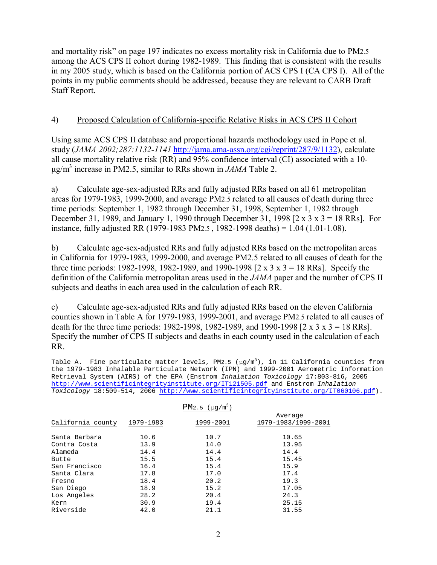and mortality risk" on page 197 indicates no excess mortality risk in California due to PM2.5 among the ACS CPS II cohort during 1982-1989. This finding that is consistent with the results in my 2005 study, which is based on the California portion of ACS CPS I (CA CPS I). All of the points in my public comments should be addressed, because they are relevant to CARB Draft Staff Report.

#### 4) Proposed Calculation of California-specific Relative Risks in ACS CPS II Cohort

Using same ACS CPS II database and proportional hazards methodology used in Pope et al. study (*JAMA 2002;287:1132-1141* http://jama.ama-assn.org/cgi/reprint/287/9/1132), calculate all cause mortality relative risk (RR) and 95% confidence interval (CI) associated with a 10 µg/m3 increase in PM2.5, similar to RRs shown in *JAMA* Table 2.

a) Calculate age-sex-adjusted RRs and fully adjusted RRs based on all 61 metropolitan areas for 1979-1983, 1999-2000, and average PM2.5 related to all causes of death during three time periods: September 1, 1982 through December 31, 1998, September 1, 1982 through December 31, 1989, and January 1, 1990 through December 31, 1998  $[2 \times 3 \times 3 = 18$  RRs]. For instance, fully adjusted RR (1979-1983 PM2.5 , 1982-1998 deaths) = 1.04 (1.01-1.08).

b) Calculate age-sex-adjusted RRs and fully adjusted RRs based on the metropolitan areas in California for 1979-1983, 1999-2000, and average PM2.5 related to all causes of death for the three time periods: 1982-1998, 1982-1989, and 1990-1998  $[2 \times 3 \times 3 = 18 \text{ RRs}]$ . Specify the definition of the California metropolitan areas used in the *JAMA* paper and the number of CPS II subjects and deaths in each area used in the calculation of each RR.

c) Calculate age-sex-adjusted RRs and fully adjusted RRs based on the eleven California counties shown in Table A for 1979-1983, 1999-2001, and average PM2.5 related to all causes of death for the three time periods: 1982-1998, 1982-1989, and 1990-1998  $[2 \times 3 \times 3 = 18 \text{ RRs}]$ . Specify the number of CPS II subjects and deaths in each county used in the calculation of each RR.

Table A. Fine particulate matter levels, PM2.5 (µg/m $^3$ ), in 11 California counties from the 1979-1983 Inhalable Particulate Network (IPN) and 1999-2001 Aerometric Information Retrieval System (AIRS) of the EPA (Enstrom Inhalation Toxicology 17:803-816, 2005 http://www.scientificintegrityinstitute.org/IT121505.pdf and Enstrom Inhalation Toxicology 18:509-514, 2006 http://www.scientificintegrityinstitute.org/IT060106.pdf).

|                   |           | $PM2.5$ ( $\mu q/m^3$ ) |                                |
|-------------------|-----------|-------------------------|--------------------------------|
| California county | 1979-1983 | 1999-2001               | Average<br>1979-1983/1999-2001 |
| Santa Barbara     | 10.6      | 10.7                    | 10.65                          |
| Contra Costa      | 13.9      | 14.0                    | 13.95                          |
| Alameda           | 14.4      | 14.4                    | 14.4                           |
| Butte             | 15.5      | 15.4                    | 15.45                          |
| San Francisco     | 16.4      | 15.4                    | 15.9                           |
| Santa Clara       | 17.8      | 17.0                    | 17.4                           |
| Fresno            | 18.4      | 20.2                    | 19.3                           |
| San Diego         | 18.9      | 15.2                    | 17.05                          |
| Los Angeles       | 28.2      | 20.4                    | 24.3                           |
| Kern              | 30.9      | 19.4                    | 25.15                          |
| Riverside         | 42.0      | 21.1                    | 31.55                          |